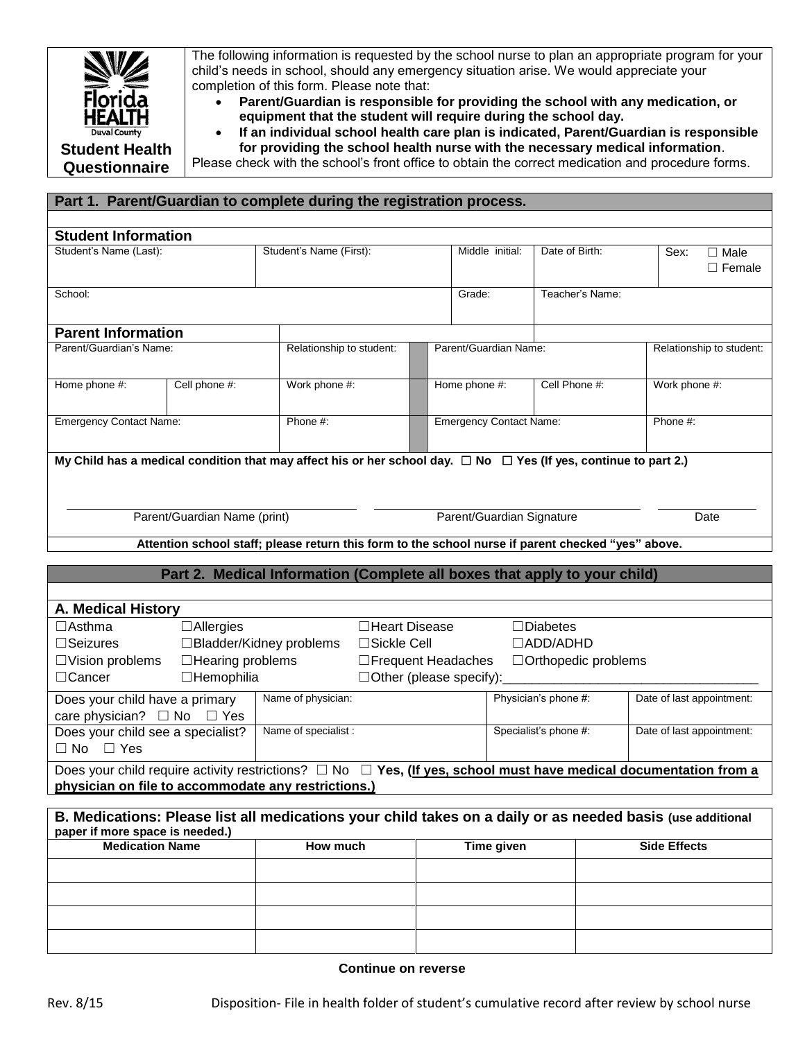

The following information is requested by the school nurse to plan an appropriate program for your child's needs in school, should any emergency situation arise. We would appreciate your completion of this form. Please note that:

 **Parent/Guardian is responsible for providing the school with any medication, or equipment that the student will require during the school day.**

 **If an individual school health care plan is indicated, Parent/Guardian is responsible for providing the school health nurse with the necessary medical information**.

Please check with the school's front office to obtain the correct medication and procedure forms.

## **Part 1. Parent/Guardian to complete during the registration process.**

| <b>Student Information</b>                                                                                                  |                              |                         |                 |                       |                                |                           |                           |               |                              |  |  |  |
|-----------------------------------------------------------------------------------------------------------------------------|------------------------------|-------------------------|-----------------|-----------------------|--------------------------------|---------------------------|---------------------------|---------------|------------------------------|--|--|--|
| Student's Name (Last):                                                                                                      |                              | Student's Name (First): |                 |                       | Middle initial:                | Date of Birth:            |                           | Sex:          | $\Box$ Male<br>$\Box$ Female |  |  |  |
| School:                                                                                                                     |                              |                         |                 | Grade:                | Teacher's Name:                |                           |                           |               |                              |  |  |  |
|                                                                                                                             |                              |                         |                 |                       |                                |                           |                           |               |                              |  |  |  |
| <b>Parent Information</b>                                                                                                   |                              |                         |                 |                       |                                |                           |                           |               |                              |  |  |  |
| Parent/Guardian's Name:                                                                                                     | Relationship to student:     |                         |                 | Parent/Guardian Name: |                                | Relationship to student:  |                           |               |                              |  |  |  |
| Home phone #:                                                                                                               | Cell phone #:                |                         | Work phone #:   |                       | Home phone #:                  | Cell Phone #:             |                           | Work phone #: |                              |  |  |  |
| <b>Emergency Contact Name:</b>                                                                                              |                              | Phone #:                |                 |                       | <b>Emergency Contact Name:</b> |                           |                           | Phone #:      |                              |  |  |  |
| My Child has a medical condition that may affect his or her school day. $\Box$ No $\Box$ Yes (If yes, continue to part 2.)  |                              |                         |                 |                       |                                |                           |                           |               |                              |  |  |  |
|                                                                                                                             |                              |                         |                 |                       |                                |                           |                           |               |                              |  |  |  |
|                                                                                                                             | Parent/Guardian Name (print) |                         |                 |                       |                                | Parent/Guardian Signature |                           |               | Date                         |  |  |  |
| Attention school staff; please return this form to the school nurse if parent checked "yes" above.                          |                              |                         |                 |                       |                                |                           |                           |               |                              |  |  |  |
|                                                                                                                             |                              |                         |                 |                       |                                |                           |                           |               |                              |  |  |  |
| Part 2. Medical Information (Complete all boxes that apply to your child)                                                   |                              |                         |                 |                       |                                |                           |                           |               |                              |  |  |  |
| A. Medical History                                                                                                          |                              |                         |                 |                       |                                |                           |                           |               |                              |  |  |  |
| $\Box$ Asthma                                                                                                               |                              | □Heart Disease          | $\Box$ Diabetes |                       |                                |                           |                           |               |                              |  |  |  |
| $\Box$ Seizures                                                                                                             | □ Bladder/Kidney problems    |                         | □ADD/ADHD       |                       |                                |                           |                           |               |                              |  |  |  |
| □Sickle Cell<br>$\Box$ Hearing problems<br>□Frequent Headaches<br>□ Orthopedic problems<br>$\Box$ Vision problems           |                              |                         |                 |                       |                                |                           |                           |               |                              |  |  |  |
| □Hemophilia<br>□Cancer<br>$\Box$ Other (please specify):                                                                    |                              |                         |                 |                       |                                |                           |                           |               |                              |  |  |  |
| Does your child have a primary                                                                                              |                              | Name of physician:      |                 |                       |                                | Physician's phone #:      |                           |               | Date of last appointment:    |  |  |  |
| care physician? $\Box$ No                                                                                                   | $\Box$ Yes                   |                         |                 |                       |                                |                           |                           |               |                              |  |  |  |
| Does your child see a specialist?                                                                                           | Name of specialist :         |                         |                 |                       | Specialist's phone #:          |                           | Date of last appointment: |               |                              |  |  |  |
| $\Box$ No $\Box$ Yes                                                                                                        |                              |                         |                 |                       |                                |                           |                           |               |                              |  |  |  |
| Does your child require activity restrictions? $\Box$ No $\Box$ Yes, (If yes, school must have medical documentation from a |                              |                         |                 |                       |                                |                           |                           |               |                              |  |  |  |
| physician on file to accommodate any restrictions.)                                                                         |                              |                         |                 |                       |                                |                           |                           |               |                              |  |  |  |
| B. Medications: Please list all medications your child takes on a daily or as needed basis (use additional                  |                              |                         |                 |                       |                                |                           |                           |               |                              |  |  |  |
| paper if more space is needed.)                                                                                             |                              |                         |                 |                       |                                |                           |                           |               |                              |  |  |  |
| <b>Medication Name</b>                                                                                                      |                              | How much                |                 |                       | Time given                     |                           | <b>Side Effects</b>       |               |                              |  |  |  |
|                                                                                                                             |                              |                         |                 |                       |                                |                           |                           |               |                              |  |  |  |

## **Continue on reverse**